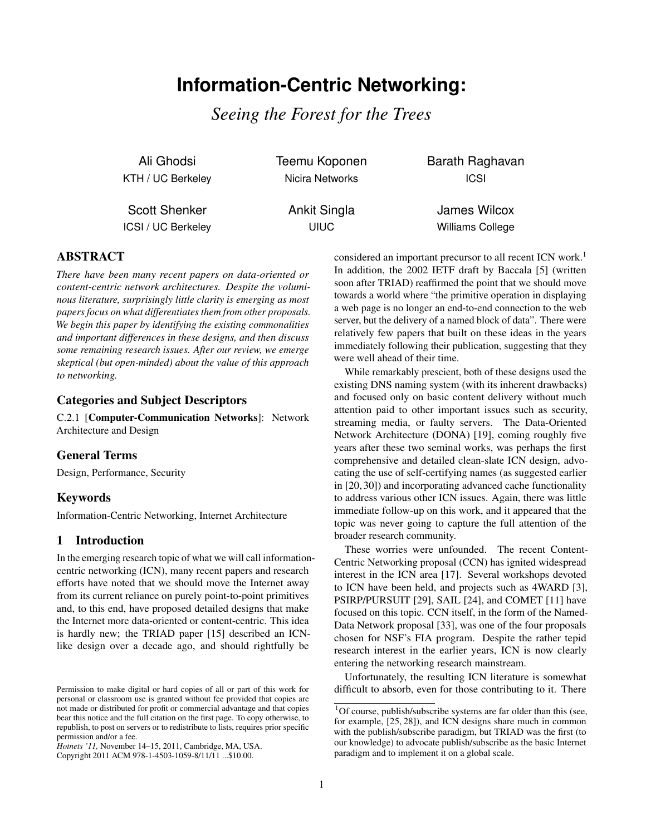# **Information-Centric Networking:**

*Seeing the Forest for the Trees*

Ali Ghodsi KTH / UC Berkeley Teemu Koponen Nicira Networks

Scott Shenker ICSI / UC Berkeley Ankit Singla UIUC

Barath Raghavan ICSI

James Wilcox Williams College

# ABSTRACT

*There have been many recent papers on data-oriented or content-centric network architectures. Despite the voluminous literature, surprisingly little clarity is emerging as most papers focus on what differentiates them from other proposals. We begin this paper by identifying the existing commonalities and important differences in these designs, and then discuss some remaining research issues. After our review, we emerge skeptical (but open-minded) about the value of this approach to networking.*

# Categories and Subject Descriptors

C.2.1 [Computer-Communication Networks]: Network Architecture and Design

## General Terms

Design, Performance, Security

## Keywords

Information-Centric Networking, Internet Architecture

## 1 Introduction

In the emerging research topic of what we will call informationcentric networking (ICN), many recent papers and research efforts have noted that we should move the Internet away from its current reliance on purely point-to-point primitives and, to this end, have proposed detailed designs that make the Internet more data-oriented or content-centric. This idea is hardly new; the TRIAD paper [\[15\]](#page-5-0) described an ICNlike design over a decade ago, and should rightfully be

Copyright 2011 ACM 978-1-4503-1059-8/11/11 ...\$10.00.

considered an important precursor to all recent ICN work.<sup>[1](#page-0-0)</sup> In addition, the 2002 IETF draft by Baccala [\[5\]](#page-5-1) (written soon after TRIAD) reaffirmed the point that we should move towards a world where "the primitive operation in displaying a web page is no longer an end-to-end connection to the web server, but the delivery of a named block of data". There were relatively few papers that built on these ideas in the years immediately following their publication, suggesting that they were well ahead of their time.

While remarkably prescient, both of these designs used the existing DNS naming system (with its inherent drawbacks) and focused only on basic content delivery without much attention paid to other important issues such as security, streaming media, or faulty servers. The Data-Oriented Network Architecture (DONA) [\[19\]](#page-5-2), coming roughly five years after these two seminal works, was perhaps the first comprehensive and detailed clean-slate ICN design, advocating the use of self-certifying names (as suggested earlier in [\[20,](#page-5-3) [30\]](#page-5-4)) and incorporating advanced cache functionality to address various other ICN issues. Again, there was little immediate follow-up on this work, and it appeared that the topic was never going to capture the full attention of the broader research community.

These worries were unfounded. The recent Content-Centric Networking proposal (CCN) has ignited widespread interest in the ICN area [\[17\]](#page-5-5). Several workshops devoted to ICN have been held, and projects such as 4WARD [\[3\]](#page-5-6), PSIRP/PURSUIT [\[29\]](#page-5-7), SAIL [\[24\]](#page-5-8), and COMET [\[11\]](#page-5-9) have focused on this topic. CCN itself, in the form of the Named-Data Network proposal [\[33\]](#page-5-10), was one of the four proposals chosen for NSF's FIA program. Despite the rather tepid research interest in the earlier years, ICN is now clearly entering the networking research mainstream.

Unfortunately, the resulting ICN literature is somewhat difficult to absorb, even for those contributing to it. There

Permission to make digital or hard copies of all or part of this work for personal or classroom use is granted without fee provided that copies are not made or distributed for profit or commercial advantage and that copies bear this notice and the full citation on the first page. To copy otherwise, to republish, to post on servers or to redistribute to lists, requires prior specific permission and/or a fee.

*Hotnets '11,* November 14–15, 2011, Cambridge, MA, USA.

<span id="page-0-0"></span> $1$ Of course, publish/subscribe systems are far older than this (see, for example, [\[25,](#page-5-11) [28\]](#page-5-12)), and ICN designs share much in common with the publish/subscribe paradigm, but TRIAD was the first (to our knowledge) to advocate publish/subscribe as the basic Internet paradigm and to implement it on a global scale.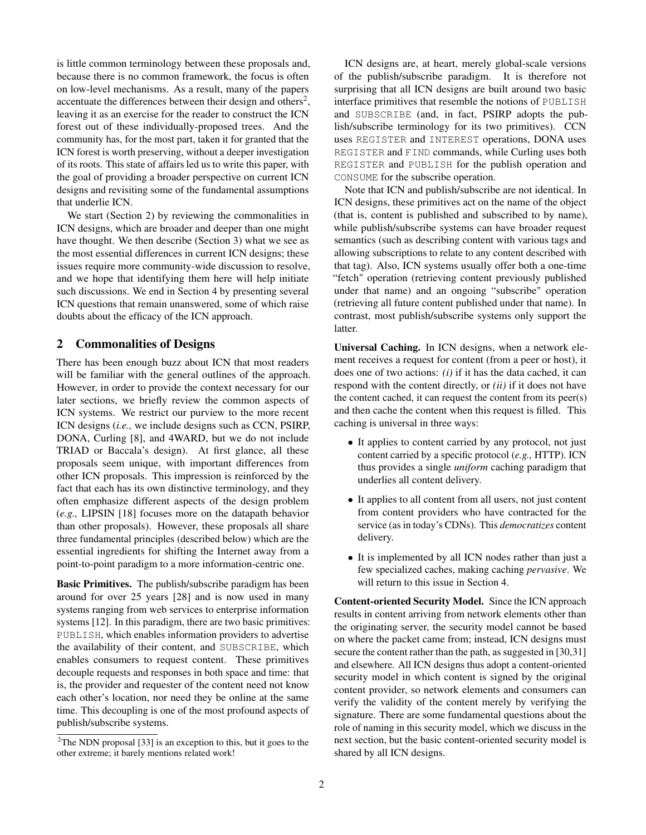is little common terminology between these proposals and, because there is no common framework, the focus is often on low-level mechanisms. As a result, many of the papers accentuate the differences between their design and others<sup>[2](#page-1-0)</sup>, leaving it as an exercise for the reader to construct the ICN forest out of these individually-proposed trees. And the community has, for the most part, taken it for granted that the ICN forest is worth preserving, without a deeper investigation of its roots. This state of affairs led us to write this paper, with the goal of providing a broader perspective on current ICN designs and revisiting some of the fundamental assumptions that underlie ICN.

We start (Section [2\)](#page-1-1) by reviewing the commonalities in ICN designs, which are broader and deeper than one might have thought. We then describe (Section [3\)](#page-2-0) what we see as the most essential differences in current ICN designs; these issues require more community-wide discussion to resolve, and we hope that identifying them here will help initiate such discussions. We end in Section [4](#page-2-1) by presenting several ICN questions that remain unanswered, some of which raise doubts about the efficacy of the ICN approach.

# <span id="page-1-1"></span>2 Commonalities of Designs

There has been enough buzz about ICN that most readers will be familiar with the general outlines of the approach. However, in order to provide the context necessary for our later sections, we briefly review the common aspects of ICN systems. We restrict our purview to the more recent ICN designs (*i.e.,* we include designs such as CCN, PSIRP, DONA, Curling [\[8\]](#page-5-13), and 4WARD, but we do not include TRIAD or Baccala's design). At first glance, all these proposals seem unique, with important differences from other ICN proposals. This impression is reinforced by the fact that each has its own distinctive terminology, and they often emphasize different aspects of the design problem (*e.g.,* LIPSIN [\[18\]](#page-5-14) focuses more on the datapath behavior than other proposals). However, these proposals all share three fundamental principles (described below) which are the essential ingredients for shifting the Internet away from a point-to-point paradigm to a more information-centric one.

Basic Primitives. The publish/subscribe paradigm has been around for over 25 years [\[28\]](#page-5-12) and is now used in many systems ranging from web services to enterprise information systems [\[12\]](#page-5-15). In this paradigm, there are two basic primitives: PUBLISH, which enables information providers to advertise the availability of their content, and SUBSCRIBE, which enables consumers to request content. These primitives decouple requests and responses in both space and time: that is, the provider and requester of the content need not know each other's location, nor need they be online at the same time. This decoupling is one of the most profound aspects of publish/subscribe systems.

ICN designs are, at heart, merely global-scale versions of the publish/subscribe paradigm. It is therefore not surprising that all ICN designs are built around two basic interface primitives that resemble the notions of PUBLISH and SUBSCRIBE (and, in fact, PSIRP adopts the publish/subscribe terminology for its two primitives). CCN uses REGISTER and INTEREST operations, DONA uses REGISTER and FIND commands, while Curling uses both REGISTER and PUBLISH for the publish operation and CONSUME for the subscribe operation.

Note that ICN and publish/subscribe are not identical. In ICN designs, these primitives act on the name of the object (that is, content is published and subscribed to by name), while publish/subscribe systems can have broader request semantics (such as describing content with various tags and allowing subscriptions to relate to any content described with that tag). Also, ICN systems usually offer both a one-time "fetch" operation (retrieving content previously published under that name) and an ongoing "subscribe" operation (retrieving all future content published under that name). In contrast, most publish/subscribe systems only support the latter.

Universal Caching. In ICN designs, when a network element receives a request for content (from a peer or host), it does one of two actions: *(i)* if it has the data cached, it can respond with the content directly, or *(ii)* if it does not have the content cached, it can request the content from its peer(s) and then cache the content when this request is filled. This caching is universal in three ways:

- It applies to content carried by any protocol, not just content carried by a specific protocol (*e.g.,* HTTP). ICN thus provides a single *uniform* caching paradigm that underlies all content delivery.
- It applies to all content from all users, not just content from content providers who have contracted for the service (as in today's CDNs). This *democratizes* content delivery.
- It is implemented by all ICN nodes rather than just a few specialized caches, making caching *pervasive*. We will return to this issue in Section [4.](#page-2-1)

Content-oriented Security Model. Since the ICN approach results in content arriving from network elements other than the originating server, the security model cannot be based on where the packet came from; instead, ICN designs must secure the content rather than the path, as suggested in [\[30,](#page-5-4)[31\]](#page-5-16) and elsewhere. All ICN designs thus adopt a content-oriented security model in which content is signed by the original content provider, so network elements and consumers can verify the validity of the content merely by verifying the signature. There are some fundamental questions about the role of naming in this security model, which we discuss in the next section, but the basic content-oriented security model is shared by all ICN designs.

<span id="page-1-0"></span> $2$ <sup>2</sup>The NDN proposal [\[33\]](#page-5-10) is an exception to this, but it goes to the other extreme; it barely mentions related work!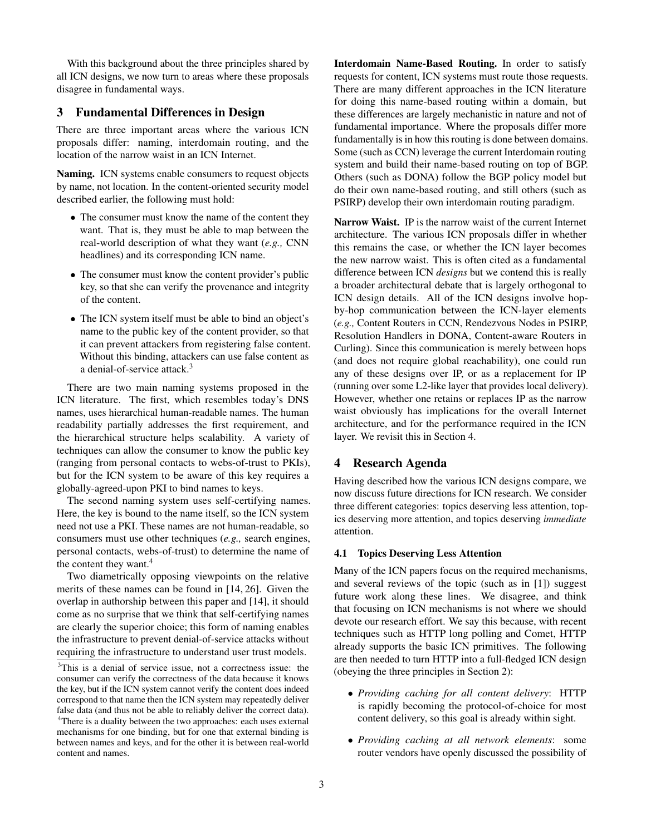With this background about the three principles shared by all ICN designs, we now turn to areas where these proposals disagree in fundamental ways.

## <span id="page-2-0"></span>3 Fundamental Differences in Design

There are three important areas where the various ICN proposals differ: naming, interdomain routing, and the location of the narrow waist in an ICN Internet.

Naming. ICN systems enable consumers to request objects by name, not location. In the content-oriented security model described earlier, the following must hold:

- The consumer must know the name of the content they want. That is, they must be able to map between the real-world description of what they want (*e.g.,* CNN headlines) and its corresponding ICN name.
- The consumer must know the content provider's public key, so that she can verify the provenance and integrity of the content.
- The ICN system itself must be able to bind an object's name to the public key of the content provider, so that it can prevent attackers from registering false content. Without this binding, attackers can use false content as a denial-of-service attack.<sup>[3](#page-2-2)</sup>

There are two main naming systems proposed in the ICN literature. The first, which resembles today's DNS names, uses hierarchical human-readable names. The human readability partially addresses the first requirement, and the hierarchical structure helps scalability. A variety of techniques can allow the consumer to know the public key (ranging from personal contacts to webs-of-trust to PKIs), but for the ICN system to be aware of this key requires a globally-agreed-upon PKI to bind names to keys.

The second naming system uses self-certifying names. Here, the key is bound to the name itself, so the ICN system need not use a PKI. These names are not human-readable, so consumers must use other techniques (*e.g.,* search engines, personal contacts, webs-of-trust) to determine the name of the content they want. $4$ 

Two diametrically opposing viewpoints on the relative merits of these names can be found in [\[14,](#page-5-17) [26\]](#page-5-18). Given the overlap in authorship between this paper and [\[14\]](#page-5-17), it should come as no surprise that we think that self-certifying names are clearly the superior choice; this form of naming enables the infrastructure to prevent denial-of-service attacks without requiring the infrastructure to understand user trust models.

Interdomain Name-Based Routing. In order to satisfy requests for content, ICN systems must route those requests. There are many different approaches in the ICN literature for doing this name-based routing within a domain, but these differences are largely mechanistic in nature and not of fundamental importance. Where the proposals differ more fundamentally is in how this routing is done between domains. Some (such as CCN) leverage the current Interdomain routing system and build their name-based routing on top of BGP. Others (such as DONA) follow the BGP policy model but do their own name-based routing, and still others (such as PSIRP) develop their own interdomain routing paradigm.

Narrow Waist. IP is the narrow waist of the current Internet architecture. The various ICN proposals differ in whether this remains the case, or whether the ICN layer becomes the new narrow waist. This is often cited as a fundamental difference between ICN *designs* but we contend this is really a broader architectural debate that is largely orthogonal to ICN design details. All of the ICN designs involve hopby-hop communication between the ICN-layer elements (*e.g.,* Content Routers in CCN, Rendezvous Nodes in PSIRP, Resolution Handlers in DONA, Content-aware Routers in Curling). Since this communication is merely between hops (and does not require global reachability), one could run any of these designs over IP, or as a replacement for IP (running over some L2-like layer that provides local delivery). However, whether one retains or replaces IP as the narrow waist obviously has implications for the overall Internet architecture, and for the performance required in the ICN layer. We revisit this in Section [4.](#page-2-1)

## <span id="page-2-1"></span>4 Research Agenda

Having described how the various ICN designs compare, we now discuss future directions for ICN research. We consider three different categories: topics deserving less attention, topics deserving more attention, and topics deserving *immediate* attention.

#### 4.1 Topics Deserving Less Attention

Many of the ICN papers focus on the required mechanisms, and several reviews of the topic (such as in [\[1\]](#page-5-19)) suggest future work along these lines. We disagree, and think that focusing on ICN mechanisms is not where we should devote our research effort. We say this because, with recent techniques such as HTTP long polling and Comet, HTTP already supports the basic ICN primitives. The following are then needed to turn HTTP into a full-fledged ICN design (obeying the three principles in Section [2\)](#page-1-1):

- *Providing caching for all content delivery*: HTTP is rapidly becoming the protocol-of-choice for most content delivery, so this goal is already within sight.
- *Providing caching at all network elements*: some router vendors have openly discussed the possibility of

<span id="page-2-2"></span><sup>3</sup>This is a denial of service issue, not a correctness issue: the consumer can verify the correctness of the data because it knows the key, but if the ICN system cannot verify the content does indeed correspond to that name then the ICN system may repeatedly deliver false data (and thus not be able to reliably deliver the correct data). <sup>4</sup>There is a duality between the two approaches: each uses external mechanisms for one binding, but for one that external binding is

<span id="page-2-3"></span>between names and keys, and for the other it is between real-world content and names.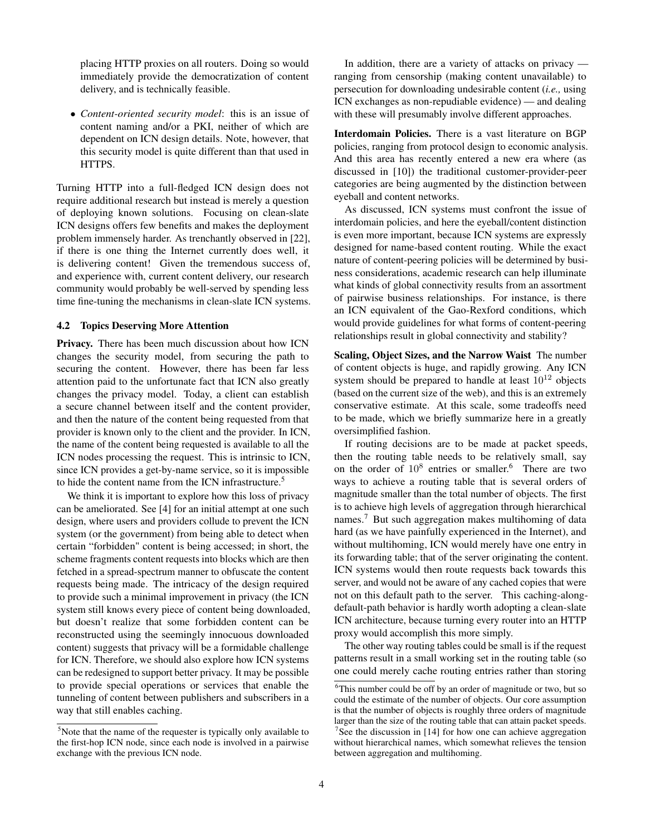placing HTTP proxies on all routers. Doing so would immediately provide the democratization of content delivery, and is technically feasible.

• *Content-oriented security model*: this is an issue of content naming and/or a PKI, neither of which are dependent on ICN design details. Note, however, that this security model is quite different than that used in HTTPS.

Turning HTTP into a full-fledged ICN design does not require additional research but instead is merely a question of deploying known solutions. Focusing on clean-slate ICN designs offers few benefits and makes the deployment problem immensely harder. As trenchantly observed in [\[22\]](#page-5-20), if there is one thing the Internet currently does well, it is delivering content! Given the tremendous success of, and experience with, current content delivery, our research community would probably be well-served by spending less time fine-tuning the mechanisms in clean-slate ICN systems.

#### 4.2 Topics Deserving More Attention

Privacy. There has been much discussion about how ICN changes the security model, from securing the path to securing the content. However, there has been far less attention paid to the unfortunate fact that ICN also greatly changes the privacy model. Today, a client can establish a secure channel between itself and the content provider, and then the nature of the content being requested from that provider is known only to the client and the provider. In ICN, the name of the content being requested is available to all the ICN nodes processing the request. This is intrinsic to ICN, since ICN provides a get-by-name service, so it is impossible to hide the content name from the ICN infrastructure.<sup>[5](#page-3-0)</sup>

We think it is important to explore how this loss of privacy can be ameliorated. See [\[4\]](#page-5-21) for an initial attempt at one such design, where users and providers collude to prevent the ICN system (or the government) from being able to detect when certain "forbidden" content is being accessed; in short, the scheme fragments content requests into blocks which are then fetched in a spread-spectrum manner to obfuscate the content requests being made. The intricacy of the design required to provide such a minimal improvement in privacy (the ICN system still knows every piece of content being downloaded, but doesn't realize that some forbidden content can be reconstructed using the seemingly innocuous downloaded content) suggests that privacy will be a formidable challenge for ICN. Therefore, we should also explore how ICN systems can be redesigned to support better privacy. It may be possible to provide special operations or services that enable the tunneling of content between publishers and subscribers in a way that still enables caching.

In addition, there are a variety of attacks on privacy ranging from censorship (making content unavailable) to persecution for downloading undesirable content (*i.e.,* using ICN exchanges as non-repudiable evidence) — and dealing with these will presumably involve different approaches.

Interdomain Policies. There is a vast literature on BGP policies, ranging from protocol design to economic analysis. And this area has recently entered a new era where (as discussed in [\[10\]](#page-5-22)) the traditional customer-provider-peer categories are being augmented by the distinction between eyeball and content networks.

As discussed, ICN systems must confront the issue of interdomain policies, and here the eyeball/content distinction is even more important, because ICN systems are expressly designed for name-based content routing. While the exact nature of content-peering policies will be determined by business considerations, academic research can help illuminate what kinds of global connectivity results from an assortment of pairwise business relationships. For instance, is there an ICN equivalent of the Gao-Rexford conditions, which would provide guidelines for what forms of content-peering relationships result in global connectivity and stability?

Scaling, Object Sizes, and the Narrow Waist The number of content objects is huge, and rapidly growing. Any ICN system should be prepared to handle at least  $10^{12}$  objects (based on the current size of the web), and this is an extremely conservative estimate. At this scale, some tradeoffs need to be made, which we briefly summarize here in a greatly oversimplified fashion.

If routing decisions are to be made at packet speeds, then the routing table needs to be relatively small, say on the order of  $10^8$  entries or smaller.<sup>[6](#page-3-1)</sup> There are two ways to achieve a routing table that is several orders of magnitude smaller than the total number of objects. The first is to achieve high levels of aggregation through hierarchical names.[7](#page-3-2) But such aggregation makes multihoming of data hard (as we have painfully experienced in the Internet), and without multihoming, ICN would merely have one entry in its forwarding table; that of the server originating the content. ICN systems would then route requests back towards this server, and would not be aware of any cached copies that were not on this default path to the server. This caching-alongdefault-path behavior is hardly worth adopting a clean-slate ICN architecture, because turning every router into an HTTP proxy would accomplish this more simply.

The other way routing tables could be small is if the request patterns result in a small working set in the routing table (so one could merely cache routing entries rather than storing

<span id="page-3-0"></span> $5$ Note that the name of the requester is typically only available to the first-hop ICN node, since each node is involved in a pairwise exchange with the previous ICN node.

<span id="page-3-2"></span><span id="page-3-1"></span><sup>&</sup>lt;sup>6</sup>This number could be off by an order of magnitude or two, but so could the estimate of the number of objects. Our core assumption is that the number of objects is roughly three orders of magnitude larger than the size of the routing table that can attain packet speeds. <sup>7</sup>See the discussion in [\[14\]](#page-5-17) for how one can achieve aggregation without hierarchical names, which somewhat relieves the tension between aggregation and multihoming.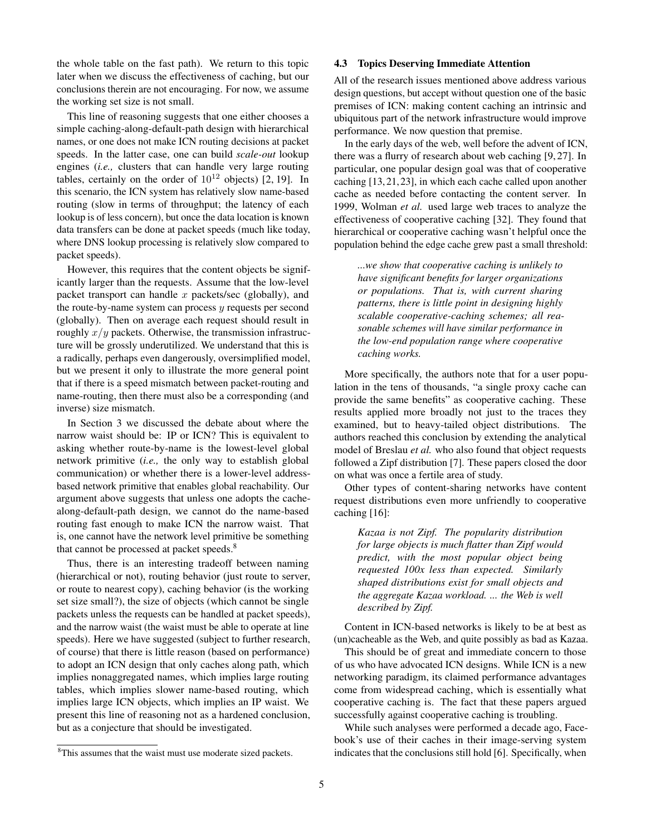the whole table on the fast path). We return to this topic later when we discuss the effectiveness of caching, but our conclusions therein are not encouraging. For now, we assume the working set size is not small.

This line of reasoning suggests that one either chooses a simple caching-along-default-path design with hierarchical names, or one does not make ICN routing decisions at packet speeds. In the latter case, one can build *scale-out* lookup engines (*i.e.,* clusters that can handle very large routing tables, certainly on the order of  $10^{12}$  objects) [\[2,](#page-5-23) [19\]](#page-5-2). In this scenario, the ICN system has relatively slow name-based routing (slow in terms of throughput; the latency of each lookup is of less concern), but once the data location is known data transfers can be done at packet speeds (much like today, where DNS lookup processing is relatively slow compared to packet speeds).

However, this requires that the content objects be significantly larger than the requests. Assume that the low-level packet transport can handle  $x$  packets/sec (globally), and the route-by-name system can process y requests per second (globally). Then on average each request should result in roughly  $x/y$  packets. Otherwise, the transmission infrastructure will be grossly underutilized. We understand that this is a radically, perhaps even dangerously, oversimplified model, but we present it only to illustrate the more general point that if there is a speed mismatch between packet-routing and name-routing, then there must also be a corresponding (and inverse) size mismatch.

In Section [3](#page-2-0) we discussed the debate about where the narrow waist should be: IP or ICN? This is equivalent to asking whether route-by-name is the lowest-level global network primitive (*i.e.,* the only way to establish global communication) or whether there is a lower-level addressbased network primitive that enables global reachability. Our argument above suggests that unless one adopts the cachealong-default-path design, we cannot do the name-based routing fast enough to make ICN the narrow waist. That is, one cannot have the network level primitive be something that cannot be processed at packet speeds.<sup>[8](#page-4-0)</sup>

Thus, there is an interesting tradeoff between naming (hierarchical or not), routing behavior (just route to server, or route to nearest copy), caching behavior (is the working set size small?), the size of objects (which cannot be single packets unless the requests can be handled at packet speeds), and the narrow waist (the waist must be able to operate at line speeds). Here we have suggested (subject to further research, of course) that there is little reason (based on performance) to adopt an ICN design that only caches along path, which implies nonaggregated names, which implies large routing tables, which implies slower name-based routing, which implies large ICN objects, which implies an IP waist. We present this line of reasoning not as a hardened conclusion, but as a conjecture that should be investigated.

#### 4.3 Topics Deserving Immediate Attention

All of the research issues mentioned above address various design questions, but accept without question one of the basic premises of ICN: making content caching an intrinsic and ubiquitous part of the network infrastructure would improve performance. We now question that premise.

In the early days of the web, well before the advent of ICN, there was a flurry of research about web caching [\[9,](#page-5-24) [27\]](#page-5-25). In particular, one popular design goal was that of cooperative caching [\[13,](#page-5-26) [21,](#page-5-27) [23\]](#page-5-28), in which each cache called upon another cache as needed before contacting the content server. In 1999, Wolman *et al.* used large web traces to analyze the effectiveness of cooperative caching [\[32\]](#page-5-29). They found that hierarchical or cooperative caching wasn't helpful once the population behind the edge cache grew past a small threshold:

*...we show that cooperative caching is unlikely to have significant benefits for larger organizations or populations. That is, with current sharing patterns, there is little point in designing highly scalable cooperative-caching schemes; all reasonable schemes will have similar performance in the low-end population range where cooperative caching works.*

More specifically, the authors note that for a user population in the tens of thousands, "a single proxy cache can provide the same benefits" as cooperative caching. These results applied more broadly not just to the traces they examined, but to heavy-tailed object distributions. The authors reached this conclusion by extending the analytical model of Breslau *et al.* who also found that object requests followed a Zipf distribution [\[7\]](#page-5-30). These papers closed the door on what was once a fertile area of study.

Other types of content-sharing networks have content request distributions even more unfriendly to cooperative caching [\[16\]](#page-5-31):

*Kazaa is not Zipf. The popularity distribution for large objects is much flatter than Zipf would predict, with the most popular object being requested 100x less than expected. Similarly shaped distributions exist for small objects and the aggregate Kazaa workload. ... the Web is well described by Zipf.*

Content in ICN-based networks is likely to be at best as (un)cacheable as the Web, and quite possibly as bad as Kazaa.

This should be of great and immediate concern to those of us who have advocated ICN designs. While ICN is a new networking paradigm, its claimed performance advantages come from widespread caching, which is essentially what cooperative caching is. The fact that these papers argued successfully against cooperative caching is troubling.

While such analyses were performed a decade ago, Facebook's use of their caches in their image-serving system indicates that the conclusions still hold [\[6\]](#page-5-32). Specifically, when

<span id="page-4-0"></span><sup>&</sup>lt;sup>8</sup>This assumes that the waist must use moderate sized packets.